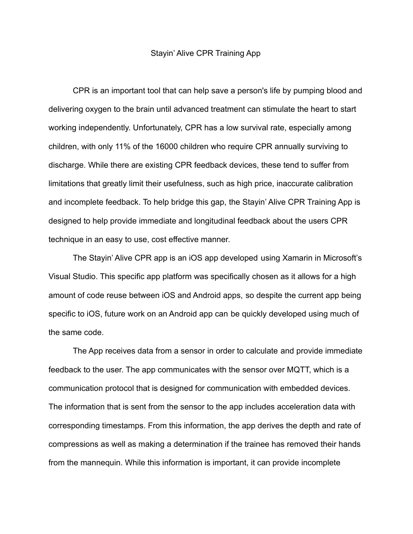## Stayin' Alive CPR Training App

CPR is an important tool that can help save a person's life by pumping blood and delivering oxygen to the brain until advanced treatment can stimulate the heart to start working independently. Unfortunately, CPR has a low survival rate, especially among children, with only 11% of the 16000 children who require CPR annually surviving to discharge. While there are existing CPR feedback devices, these tend to suffer from limitations that greatly limit their usefulness, such as high price, inaccurate calibration and incomplete feedback. To help bridge this gap, the Stayin' Alive CPR Training App is designed to help provide immediate and longitudinal feedback about the users CPR technique in an easy to use, cost effective manner.

The Stayin' Alive CPR app is an iOS app developed using Xamarin in Microsoft's Visual Studio. This specific app platform was specifically chosen as it allows for a high amount of code reuse between iOS and Android apps, so despite the current app being specific to iOS, future work on an Android app can be quickly developed using much of the same code.

The App receives data from a sensor in order to calculate and provide immediate feedback to the user. The app communicates with the sensor over MQTT, which is a communication protocol that is designed for communication with embedded devices. The information that is sent from the sensor to the app includes acceleration data with corresponding timestamps. From this information, the app derives the depth and rate of compressions as well as making a determination if the trainee has removed their hands from the mannequin. While this information is important, it can provide incomplete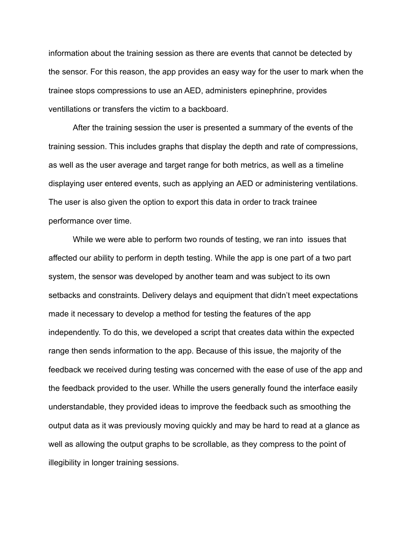information about the training session as there are events that cannot be detected by the sensor. For this reason, the app provides an easy way for the user to mark when the trainee stops compressions to use an AED, administers epinephrine, provides ventillations or transfers the victim to a backboard.

After the training session the user is presented a summary of the events of the training session. This includes graphs that display the depth and rate of compressions, as well as the user average and target range for both metrics, as well as a timeline displaying user entered events, such as applying an AED or administering ventilations. The user is also given the option to export this data in order to track trainee performance over time.

While we were able to perform two rounds of testing, we ran into issues that affected our ability to perform in depth testing. While the app is one part of a two part system, the sensor was developed by another team and was subject to its own setbacks and constraints. Delivery delays and equipment that didn't meet expectations made it necessary to develop a method for testing the features of the app independently. To do this, we developed a script that creates data within the expected range then sends information to the app. Because of this issue, the majority of the feedback we received during testing was concerned with the ease of use of the app and the feedback provided to the user. Whille the users generally found the interface easily understandable, they provided ideas to improve the feedback such as smoothing the output data as it was previously moving quickly and may be hard to read at a glance as well as allowing the output graphs to be scrollable, as they compress to the point of illegibility in longer training sessions.